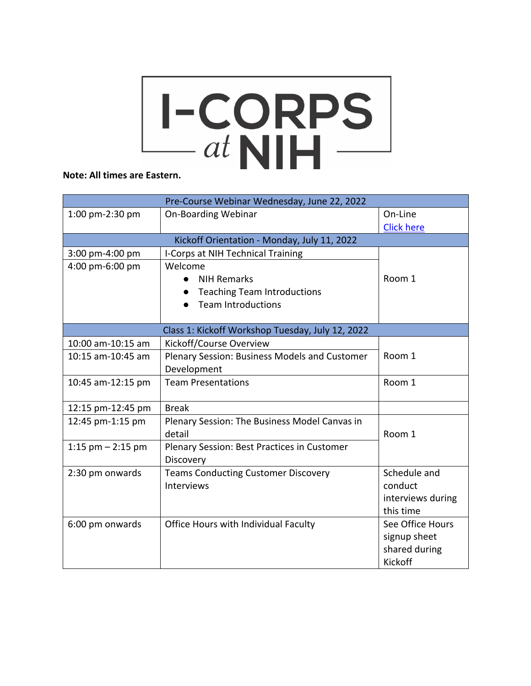## Note: All times are Eastern.

| Pre-Course Webinar Wednesday, June 22, 2022      |                                               |                   |  |
|--------------------------------------------------|-----------------------------------------------|-------------------|--|
| 1:00 pm-2:30 pm                                  | <b>On-Boarding Webinar</b>                    | On-Line           |  |
|                                                  |                                               | <b>Click here</b> |  |
| Kickoff Orientation - Monday, July 11, 2022      |                                               |                   |  |
| 3:00 pm-4:00 pm                                  | I-Corps at NIH Technical Training             |                   |  |
| 4:00 pm-6:00 pm                                  | Welcome                                       |                   |  |
|                                                  | <b>NIH Remarks</b>                            | Room 1            |  |
|                                                  | <b>Teaching Team Introductions</b>            |                   |  |
|                                                  | <b>Team Introductions</b>                     |                   |  |
|                                                  |                                               |                   |  |
| Class 1: Kickoff Workshop Tuesday, July 12, 2022 |                                               |                   |  |
| 10:00 am-10:15 am                                | Kickoff/Course Overview                       |                   |  |
| 10:15 am-10:45 am                                | Plenary Session: Business Models and Customer | Room 1            |  |
|                                                  | Development                                   |                   |  |
| 10:45 am-12:15 pm                                | <b>Team Presentations</b>                     | Room 1            |  |
|                                                  |                                               |                   |  |
| 12:15 pm-12:45 pm                                | <b>Break</b>                                  |                   |  |
| 12:45 pm-1:15 pm                                 | Plenary Session: The Business Model Canvas in |                   |  |
|                                                  | detail                                        | Room 1            |  |
| 1:15 $pm - 2:15$ pm                              | Plenary Session: Best Practices in Customer   |                   |  |
|                                                  | Discovery                                     |                   |  |
| 2:30 pm onwards                                  | <b>Teams Conducting Customer Discovery</b>    | Schedule and      |  |
|                                                  | Interviews                                    | conduct           |  |
|                                                  |                                               | interviews during |  |
|                                                  |                                               | this time         |  |
| 6:00 pm onwards                                  | Office Hours with Individual Faculty          | See Office Hours  |  |
|                                                  |                                               | signup sheet      |  |
|                                                  |                                               | shared during     |  |
|                                                  |                                               | Kickoff           |  |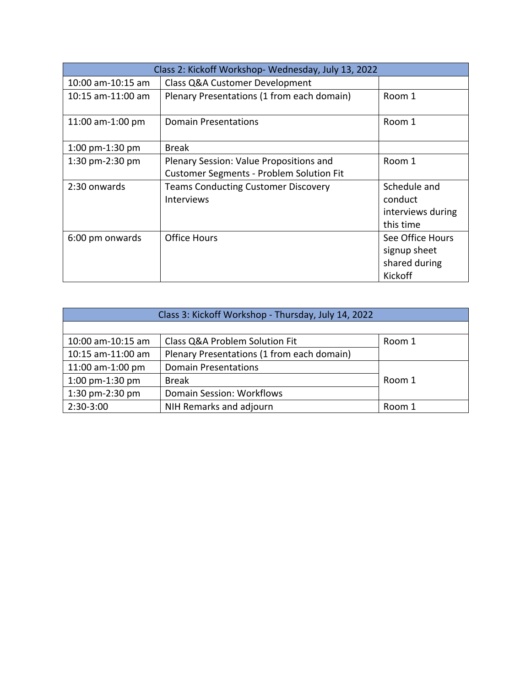| Class 2: Kickoff Workshop-Wednesday, July 13, 2022 |                                                                                            |                                                              |
|----------------------------------------------------|--------------------------------------------------------------------------------------------|--------------------------------------------------------------|
| 10:00 am-10:15 am                                  | <b>Class Q&amp;A Customer Development</b>                                                  |                                                              |
| $10:15$ am- $11:00$ am                             | Plenary Presentations (1 from each domain)                                                 | Room 1                                                       |
| 11:00 am-1:00 pm                                   | <b>Domain Presentations</b>                                                                | Room 1                                                       |
| 1:00 pm-1:30 pm                                    | <b>Break</b>                                                                               |                                                              |
| 1:30 pm-2:30 pm                                    | Plenary Session: Value Propositions and<br><b>Customer Segments - Problem Solution Fit</b> | Room 1                                                       |
| 2:30 onwards                                       | <b>Teams Conducting Customer Discovery</b><br><b>Interviews</b>                            | Schedule and<br>conduct<br>interviews during<br>this time    |
| 6:00 pm onwards                                    | <b>Office Hours</b>                                                                        | See Office Hours<br>signup sheet<br>shared during<br>Kickoff |

| Class 3: Kickoff Workshop - Thursday, July 14, 2022 |                                            |        |
|-----------------------------------------------------|--------------------------------------------|--------|
|                                                     |                                            |        |
| 10:00 am-10:15 am                                   | Class Q&A Problem Solution Fit             | Room 1 |
| 10:15 am-11:00 am                                   | Plenary Presentations (1 from each domain) |        |
| 11:00 am-1:00 pm                                    | <b>Domain Presentations</b>                |        |
| 1:00 pm-1:30 pm                                     | <b>Break</b>                               | Room 1 |
| 1:30 pm-2:30 pm                                     | Domain Session: Workflows                  |        |
| 2:30-3:00                                           | NIH Remarks and adjourn                    | Room 1 |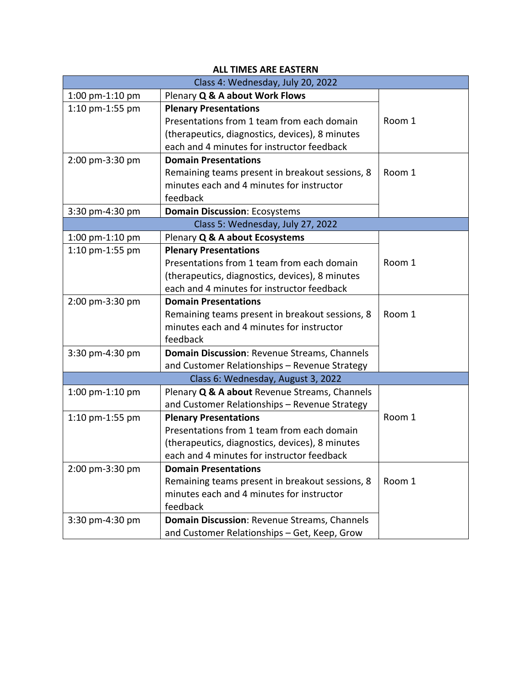| <b>ALL TIMES ARE EASTERN</b>       |                                                 |        |  |
|------------------------------------|-------------------------------------------------|--------|--|
| Class 4: Wednesday, July 20, 2022  |                                                 |        |  |
| 1:00 pm-1:10 pm                    | Plenary Q & A about Work Flows                  |        |  |
| 1:10 pm-1:55 pm                    | <b>Plenary Presentations</b>                    |        |  |
|                                    | Presentations from 1 team from each domain      | Room 1 |  |
|                                    | (therapeutics, diagnostics, devices), 8 minutes |        |  |
|                                    | each and 4 minutes for instructor feedback      |        |  |
| 2:00 pm-3:30 pm                    | <b>Domain Presentations</b>                     |        |  |
|                                    | Remaining teams present in breakout sessions, 8 | Room 1 |  |
|                                    | minutes each and 4 minutes for instructor       |        |  |
|                                    | feedback                                        |        |  |
| 3:30 pm-4:30 pm                    | <b>Domain Discussion: Ecosystems</b>            |        |  |
|                                    | Class 5: Wednesday, July 27, 2022               |        |  |
| 1:00 $pm-1:10$ pm                  | Plenary Q & A about Ecosystems                  |        |  |
| 1:10 pm-1:55 pm                    | <b>Plenary Presentations</b>                    |        |  |
|                                    | Presentations from 1 team from each domain      | Room 1 |  |
|                                    | (therapeutics, diagnostics, devices), 8 minutes |        |  |
|                                    | each and 4 minutes for instructor feedback      |        |  |
| 2:00 pm-3:30 pm                    | <b>Domain Presentations</b>                     |        |  |
|                                    | Remaining teams present in breakout sessions, 8 | Room 1 |  |
|                                    | minutes each and 4 minutes for instructor       |        |  |
|                                    | feedback                                        |        |  |
| 3:30 pm-4:30 pm                    | Domain Discussion: Revenue Streams, Channels    |        |  |
|                                    | and Customer Relationships - Revenue Strategy   |        |  |
| Class 6: Wednesday, August 3, 2022 |                                                 |        |  |
| 1:00 pm-1:10 pm                    | Plenary Q & A about Revenue Streams, Channels   |        |  |
|                                    | and Customer Relationships - Revenue Strategy   |        |  |
| 1:10 pm-1:55 pm                    | <b>Plenary Presentations</b>                    | Room 1 |  |
|                                    | Presentations from 1 team from each domain      |        |  |
|                                    | (therapeutics, diagnostics, devices), 8 minutes |        |  |
|                                    | each and 4 minutes for instructor feedback      |        |  |
| 2:00 pm-3:30 pm                    | <b>Domain Presentations</b>                     |        |  |
|                                    | Remaining teams present in breakout sessions, 8 | Room 1 |  |
|                                    | minutes each and 4 minutes for instructor       |        |  |
|                                    | feedback                                        |        |  |
| 3:30 pm-4:30 pm                    | Domain Discussion: Revenue Streams, Channels    |        |  |
|                                    | and Customer Relationships - Get, Keep, Grow    |        |  |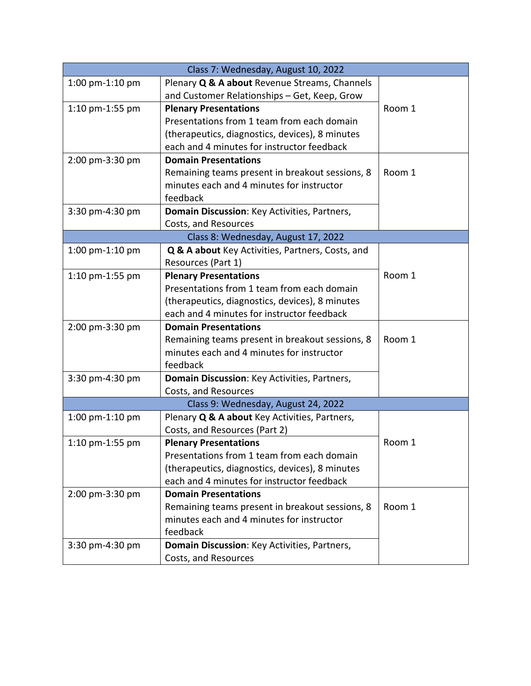| Class 7: Wednesday, August 10, 2022 |                                                  |        |
|-------------------------------------|--------------------------------------------------|--------|
| 1:00 pm-1:10 pm                     | Plenary Q & A about Revenue Streams, Channels    |        |
|                                     | and Customer Relationships - Get, Keep, Grow     |        |
| 1:10 pm-1:55 pm                     | <b>Plenary Presentations</b>                     | Room 1 |
|                                     | Presentations from 1 team from each domain       |        |
|                                     | (therapeutics, diagnostics, devices), 8 minutes  |        |
|                                     | each and 4 minutes for instructor feedback       |        |
| 2:00 pm-3:30 pm                     | <b>Domain Presentations</b>                      |        |
|                                     | Remaining teams present in breakout sessions, 8  | Room 1 |
|                                     | minutes each and 4 minutes for instructor        |        |
|                                     | feedback                                         |        |
| 3:30 pm-4:30 pm                     | Domain Discussion: Key Activities, Partners,     |        |
|                                     | Costs, and Resources                             |        |
|                                     | Class 8: Wednesday, August 17, 2022              |        |
| 1:00 $pm-1:10$ pm                   | Q & A about Key Activities, Partners, Costs, and |        |
|                                     | Resources (Part 1)                               |        |
| 1:10 pm-1:55 pm                     | <b>Plenary Presentations</b>                     | Room 1 |
|                                     | Presentations from 1 team from each domain       |        |
|                                     | (therapeutics, diagnostics, devices), 8 minutes  |        |
|                                     | each and 4 minutes for instructor feedback       |        |
| 2:00 pm-3:30 pm                     | <b>Domain Presentations</b>                      |        |
|                                     | Remaining teams present in breakout sessions, 8  | Room 1 |
|                                     | minutes each and 4 minutes for instructor        |        |
|                                     | feedback                                         |        |
| 3:30 pm-4:30 pm                     | Domain Discussion: Key Activities, Partners,     |        |
|                                     | Costs, and Resources                             |        |
|                                     | Class 9: Wednesday, August 24, 2022              |        |
| 1:00 $pm-1:10$ pm                   | Plenary Q & A about Key Activities, Partners,    |        |
|                                     | Costs, and Resources (Part 2)                    |        |
| 1:10 pm-1:55 pm                     | <b>Plenary Presentations</b>                     | Room 1 |
|                                     | Presentations from 1 team from each domain       |        |
|                                     | (therapeutics, diagnostics, devices), 8 minutes  |        |
|                                     | each and 4 minutes for instructor feedback       |        |
| 2:00 pm-3:30 pm                     | <b>Domain Presentations</b>                      |        |
|                                     | Remaining teams present in breakout sessions, 8  | Room 1 |
|                                     | minutes each and 4 minutes for instructor        |        |
|                                     | feedback                                         |        |
| 3:30 pm-4:30 pm                     | Domain Discussion: Key Activities, Partners,     |        |
|                                     | Costs, and Resources                             |        |